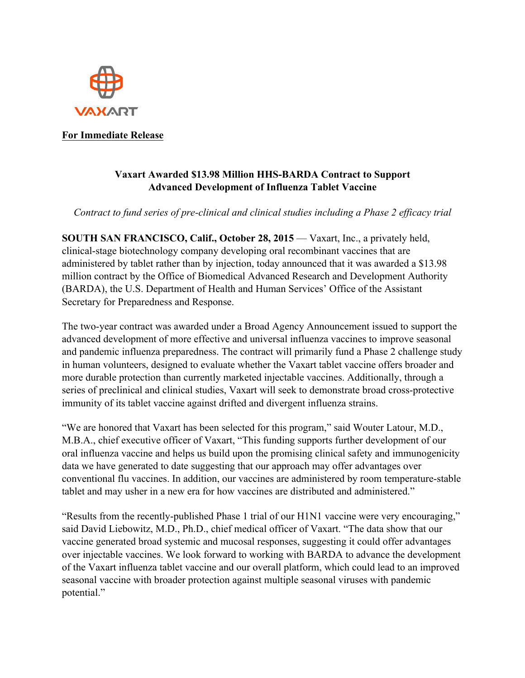

## **For Immediate Release**

## **Vaxart Awarded \$13.98 Million HHS-BARDA Contract to Support Advanced Development of Influenza Tablet Vaccine**

*Contract to fund series of pre-clinical and clinical studies including a Phase 2 efficacy trial*

**SOUTH SAN FRANCISCO, Calif., October 28, 2015** — Vaxart, Inc., a privately held, clinical-stage biotechnology company developing oral recombinant vaccines that are administered by tablet rather than by injection, today announced that it was awarded a \$13.98 million contract by the Office of Biomedical Advanced Research and Development Authority (BARDA), the U.S. Department of Health and Human Services' Office of the Assistant Secretary for Preparedness and Response.

The two-year contract was awarded under a Broad Agency Announcement issued to support the advanced development of more effective and universal influenza vaccines to improve seasonal and pandemic influenza preparedness. The contract will primarily fund a Phase 2 challenge study in human volunteers, designed to evaluate whether the Vaxart tablet vaccine offers broader and more durable protection than currently marketed injectable vaccines. Additionally, through a series of preclinical and clinical studies, Vaxart will seek to demonstrate broad cross-protective immunity of its tablet vaccine against drifted and divergent influenza strains.

"We are honored that Vaxart has been selected for this program," said Wouter Latour, M.D., M.B.A., chief executive officer of Vaxart, "This funding supports further development of our oral influenza vaccine and helps us build upon the promising clinical safety and immunogenicity data we have generated to date suggesting that our approach may offer advantages over conventional flu vaccines. In addition, our vaccines are administered by room temperature-stable tablet and may usher in a new era for how vaccines are distributed and administered."

"Results from the recently-published Phase 1 trial of our H1N1 vaccine were very encouraging," said David Liebowitz, M.D., Ph.D., chief medical officer of Vaxart. "The data show that our vaccine generated broad systemic and mucosal responses, suggesting it could offer advantages over injectable vaccines. We look forward to working with BARDA to advance the development of the Vaxart influenza tablet vaccine and our overall platform, which could lead to an improved seasonal vaccine with broader protection against multiple seasonal viruses with pandemic potential."